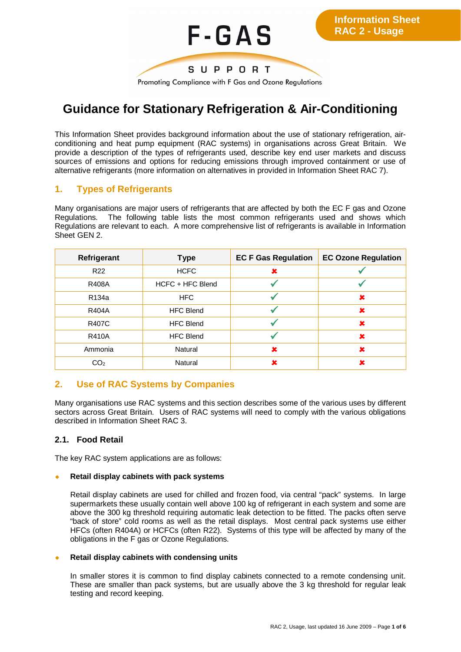

# **Guidance for Stationary Refrigeration & Air-Conditioning**

This Information Sheet provides background information about the use of stationary refrigeration, airconditioning and heat pump equipment (RAC systems) in organisations across Great Britain. We provide a description of the types of refrigerants used, describe key end user markets and discuss sources of emissions and options for reducing emissions through improved containment or use of alternative refrigerants (more information on alternatives in provided in Information Sheet RAC 7).

# **1. Types of Refrigerants**

Many organisations are major users of refrigerants that are affected by both the EC F gas and Ozone Regulations. The following table lists the most common refrigerants used and shows which Regulations are relevant to each. A more comprehensive list of refrigerants is available in Information Sheet GEN 2.

| Refrigerant     | <b>Type</b>      | <b>EC F Gas Regulation</b> | <b>EC Ozone Regulation</b> |
|-----------------|------------------|----------------------------|----------------------------|
| R <sub>22</sub> | <b>HCFC</b>      | ×                          |                            |
| <b>R408A</b>    | HCFC + HFC Blend |                            |                            |
| R134a           | <b>HFC</b>       |                            | ×                          |
| <b>R404A</b>    | <b>HFC Blend</b> |                            | x                          |
| <b>R407C</b>    | <b>HFC Blend</b> |                            | x                          |
| <b>R410A</b>    | <b>HFC Blend</b> |                            | ×                          |
| Ammonia         | Natural          | ×                          | x                          |
| CO <sub>2</sub> | Natural          | ×                          | x                          |

# **2. Use of RAC Systems by Companies**

Many organisations use RAC systems and this section describes some of the various uses by different sectors across Great Britain. Users of RAC systems will need to comply with the various obligations described in Information Sheet RAC 3.

### **2.1. Food Retail**

The key RAC system applications are as follows:

### ¡ **Retail display cabinets with pack systems**

Retail display cabinets are used for chilled and frozen food, via central "pack" systems. In large supermarkets these usually contain well above 100 kg of refrigerant in each system and some are above the 300 kg threshold requiring automatic leak detection to be fitted. The packs often serve "back of store" cold rooms as well as the retail displays. Most central pack systems use either HFCs (often R404A) or HCFCs (often R22). Systems of this type will be affected by many of the obligations in the F gas or Ozone Regulations.

#### **Retail display cabinets with condensing units**

In smaller stores it is common to find display cabinets connected to a remote condensing unit. These are smaller than pack systems, but are usually above the 3 kg threshold for regular leak testing and record keeping.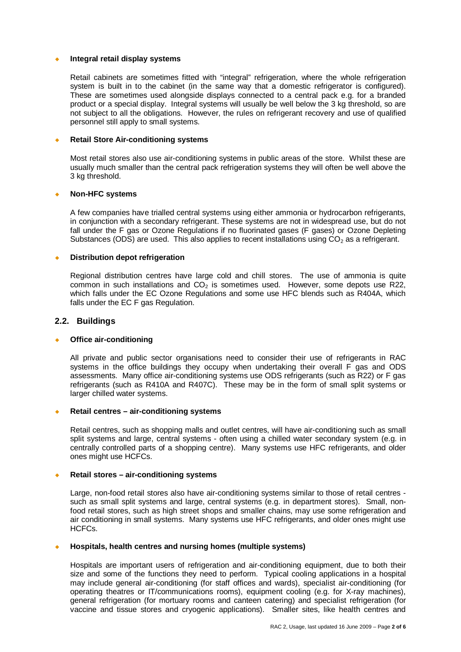#### ¡ **Integral retail display systems**

Retail cabinets are sometimes fitted with "integral" refrigeration, where the whole refrigeration system is built in to the cabinet (in the same way that a domestic refrigerator is configured). These are sometimes used alongside displays connected to a central pack e.g. for a branded product or a special display. Integral systems will usually be well below the 3 kg threshold, so are not subject to all the obligations. However, the rules on refrigerant recovery and use of qualified personnel still apply to small systems.

#### ¡ **Retail Store Air-conditioning systems**

Most retail stores also use air-conditioning systems in public areas of the store. Whilst these are usually much smaller than the central pack refrigeration systems they will often be well above the 3 kg threshold.

#### ¡ **Non-HFC systems**

A few companies have trialled central systems using either ammonia or hydrocarbon refrigerants, in conjunction with a secondary refrigerant. These systems are not in widespread use, but do not fall under the F gas or Ozone Regulations if no fluorinated gases (F gases) or Ozone Depleting Substances (ODS) are used. This also applies to recent installations using  $CO<sub>2</sub>$  as a refrigerant.

#### **Distribution depot refrigeration**

Regional distribution centres have large cold and chill stores. The use of ammonia is quite common in such installations and  $CO<sub>2</sub>$  is sometimes used. However, some depots use R22, which falls under the EC Ozone Regulations and some use HFC blends such as R404A, which falls under the EC F gas Regulation.

#### **2.2. Buildings**

#### **Office air-conditioning**

All private and public sector organisations need to consider their use of refrigerants in RAC systems in the office buildings they occupy when undertaking their overall F gas and ODS assessments. Many office air-conditioning systems use ODS refrigerants (such as R22) or F gas refrigerants (such as R410A and R407C). These may be in the form of small split systems or larger chilled water systems.

#### ¡ **Retail centres – air-conditioning systems**

Retail centres, such as shopping malls and outlet centres, will have air-conditioning such as small split systems and large, central systems - often using a chilled water secondary system (e.g. in centrally controlled parts of a shopping centre). Many systems use HFC refrigerants, and older ones might use HCFCs.

#### ¡ **Retail stores – air-conditioning systems**

Large, non-food retail stores also have air-conditioning systems similar to those of retail centres such as small split systems and large, central systems (e.g. in department stores). Small, nonfood retail stores, such as high street shops and smaller chains, may use some refrigeration and air conditioning in small systems. Many systems use HFC refrigerants, and older ones might use HCFCs.

### ¡ **Hospitals, health centres and nursing homes (multiple systems)**

Hospitals are important users of refrigeration and air-conditioning equipment, due to both their size and some of the functions they need to perform. Typical cooling applications in a hospital may include general air-conditioning (for staff offices and wards), specialist air-conditioning (for operating theatres or IT/communications rooms), equipment cooling (e.g. for X-ray machines), general refrigeration (for mortuary rooms and canteen catering) and specialist refrigeration (for vaccine and tissue stores and cryogenic applications). Smaller sites, like health centres and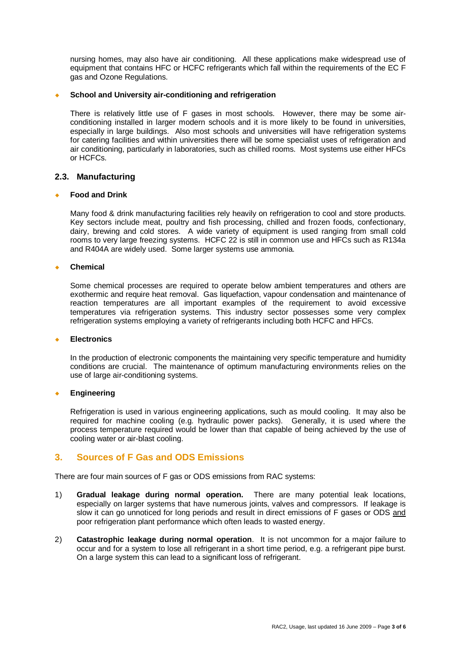nursing homes, may also have air conditioning. All these applications make widespread use of equipment that contains HFC or HCFC refrigerants which fall within the requirements of the EC F gas and Ozone Regulations.

#### School and University air-conditioning and refrigeration

There is relatively little use of F gases in most schools. However, there may be some airconditioning installed in larger modern schools and it is more likely to be found in universities, especially in large buildings. Also most schools and universities will have refrigeration systems for catering facilities and within universities there will be some specialist uses of refrigeration and air conditioning, particularly in laboratories, such as chilled rooms. Most systems use either HFCs or HCFCs.

#### **2.3. Manufacturing**

#### ¡ **Food and Drink**

Many food & drink manufacturing facilities rely heavily on refrigeration to cool and store products. Key sectors include meat, poultry and fish processing, chilled and frozen foods, confectionary, dairy, brewing and cold stores. A wide variety of equipment is used ranging from small cold rooms to very large freezing systems. HCFC 22 is still in common use and HFCs such as R134a and R404A are widely used. Some larger systems use ammonia.

#### ¡ **Chemical**

Some chemical processes are required to operate below ambient temperatures and others are exothermic and require heat removal. Gas liquefaction, vapour condensation and maintenance of reaction temperatures are all important examples of the requirement to avoid excessive temperatures via refrigeration systems. This industry sector possesses some very complex refrigeration systems employing a variety of refrigerants including both HCFC and HFCs.

#### ¡ **Electronics**

In the production of electronic components the maintaining very specific temperature and humidity conditions are crucial. The maintenance of optimum manufacturing environments relies on the use of large air-conditioning systems.

#### ¡ **Engineering**

Refrigeration is used in various engineering applications, such as mould cooling. It may also be required for machine cooling (e.g. hydraulic power packs). Generally, it is used where the process temperature required would be lower than that capable of being achieved by the use of cooling water or air-blast cooling.

# **3. Sources of F Gas and ODS Emissions**

There are four main sources of F gas or ODS emissions from RAC systems:

- 1) **Gradual leakage during normal operation.** There are many potential leak locations, especially on larger systems that have numerous joints, valves and compressors. If leakage is slow it can go unnoticed for long periods and result in direct emissions of F gases or ODS and poor refrigeration plant performance which often leads to wasted energy.
- 2) **Catastrophic leakage during normal operation**. It is not uncommon for a major failure to occur and for a system to lose all refrigerant in a short time period, e.g. a refrigerant pipe burst. On a large system this can lead to a significant loss of refrigerant.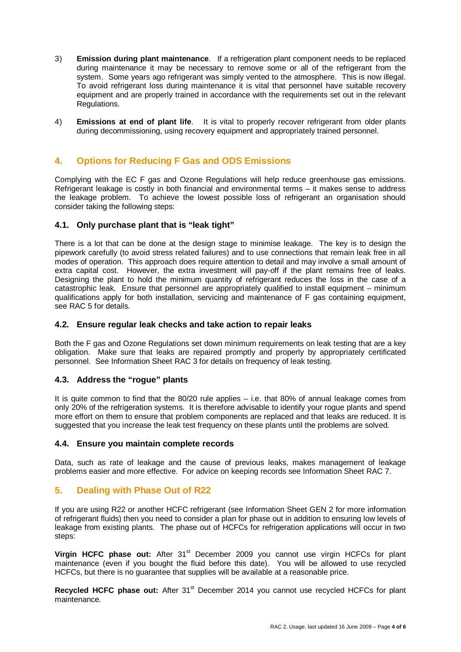- 3) **Emission during plant maintenance**. If a refrigeration plant component needs to be replaced during maintenance it may be necessary to remove some or all of the refrigerant from the system. Some years ago refrigerant was simply vented to the atmosphere. This is now illegal. To avoid refrigerant loss during maintenance it is vital that personnel have suitable recovery equipment and are properly trained in accordance with the requirements set out in the relevant Regulations.
- 4) **Emissions at end of plant life**. It is vital to properly recover refrigerant from older plants during decommissioning, using recovery equipment and appropriately trained personnel.

# **4. Options for Reducing F Gas and ODS Emissions**

Complying with the EC F gas and Ozone Regulations will help reduce greenhouse gas emissions. Refrigerant leakage is costly in both financial and environmental terms – it makes sense to address the leakage problem. To achieve the lowest possible loss of refrigerant an organisation should consider taking the following steps:

### **4.1. Only purchase plant that is "leak tight"**

There is a lot that can be done at the design stage to minimise leakage. The key is to design the pipework carefully (to avoid stress related failures) and to use connections that remain leak free in all modes of operation. This approach does require attention to detail and may involve a small amount of extra capital cost. However, the extra investment will pay-off if the plant remains free of leaks. Designing the plant to hold the minimum quantity of refrigerant reduces the loss in the case of a catastrophic leak. Ensure that personnel are appropriately qualified to install equipment – minimum qualifications apply for both installation, servicing and maintenance of F gas containing equipment, see RAC 5 for details.

### **4.2. Ensure regular leak checks and take action to repair leaks**

Both the F gas and Ozone Regulations set down minimum requirements on leak testing that are a key obligation. Make sure that leaks are repaired promptly and properly by appropriately certificated personnel. See Information Sheet RAC 3 for details on frequency of leak testing.

### **4.3. Address the "rogue" plants**

It is quite common to find that the 80/20 rule applies – i.e. that 80% of annual leakage comes from only 20% of the refrigeration systems. It is therefore advisable to identify your rogue plants and spend more effort on them to ensure that problem components are replaced and that leaks are reduced. It is suggested that you increase the leak test frequency on these plants until the problems are solved.

### **4.4. Ensure you maintain complete records**

Data, such as rate of leakage and the cause of previous leaks, makes management of leakage problems easier and more effective. For advice on keeping records see Information Sheet RAC 7.

# **5. Dealing with Phase Out of R22**

If you are using R22 or another HCFC refrigerant (see Information Sheet GEN 2 for more information of refrigerant fluids) then you need to consider a plan for phase out in addition to ensuring low levels of leakage from existing plants. The phase out of HCFCs for refrigeration applications will occur in two steps:

**Virgin HCFC phase out:** After 31<sup>st</sup> December 2009 you cannot use virgin HCFCs for plant maintenance (even if you bought the fluid before this date). You will be allowed to use recycled HCFCs, but there is no guarantee that supplies will be available at a reasonable price.

**Recycled HCFC phase out:** After 31<sup>st</sup> December 2014 you cannot use recycled HCFCs for plant maintenance.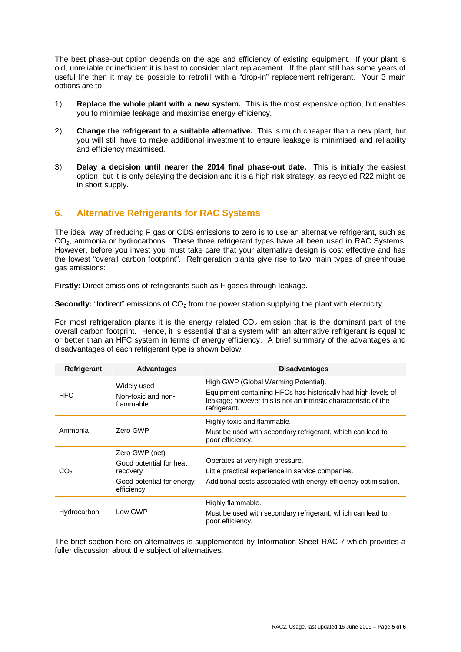The best phase-out option depends on the age and efficiency of existing equipment. If your plant is old, unreliable or inefficient it is best to consider plant replacement. If the plant still has some years of useful life then it may be possible to retrofill with a "drop-in" replacement refrigerant. Your 3 main options are to:

- 1) **Replace the whole plant with a new system.** This is the most expensive option, but enables you to minimise leakage and maximise energy efficiency.
- 2) **Change the refrigerant to a suitable alternative.** This is much cheaper than a new plant, but you will still have to make additional investment to ensure leakage is minimised and reliability and efficiency maximised.
- 3) **Delay a decision until nearer the 2014 final phase-out date.** This is initially the easiest option, but it is only delaying the decision and it is a high risk strategy, as recycled R22 might be in short supply.

# **6. Alternative Refrigerants for RAC Systems**

The ideal way of reducing F gas or ODS emissions to zero is to use an alternative refrigerant, such as CO<sub>2</sub>, ammonia or hydrocarbons. These three refrigerant types have all been used in RAC Systems. However, before you invest you must take care that your alternative design is cost effective and has the lowest "overall carbon footprint". Refrigeration plants give rise to two main types of greenhouse gas emissions:

**Firstly:** Direct emissions of refrigerants such as F gases through leakage.

**Secondly:** "Indirect" emissions of CO<sub>2</sub> from the power station supplying the plant with electricity.

For most refrigeration plants it is the energy related  $CO<sub>2</sub>$  emission that is the dominant part of the overall carbon footprint. Hence, it is essential that a system with an alternative refrigerant is equal to or better than an HFC system in terms of energy efficiency. A brief summary of the advantages and disadvantages of each refrigerant type is shown below.

| Refrigerant     | <b>Advantages</b>                                                                                | <b>Disadvantages</b>                                                                                                                                                                     |
|-----------------|--------------------------------------------------------------------------------------------------|------------------------------------------------------------------------------------------------------------------------------------------------------------------------------------------|
| HFC             | Widely used<br>Non-toxic and non-<br>flammable                                                   | High GWP (Global Warming Potential).<br>Equipment containing HFCs has historically had high levels of<br>leakage; however this is not an intrinsic characteristic of the<br>refrigerant. |
| Ammonia         | Zero GWP                                                                                         | Highly toxic and flammable.<br>Must be used with secondary refrigerant, which can lead to<br>poor efficiency.                                                                            |
| CO <sub>2</sub> | Zero GWP (net)<br>Good potential for heat<br>recovery<br>Good potential for energy<br>efficiency | Operates at very high pressure.<br>Little practical experience in service companies.<br>Additional costs associated with energy efficiency optimisation.                                 |
| Hydrocarbon     | Low GWP                                                                                          | Highly flammable.<br>Must be used with secondary refrigerant, which can lead to<br>poor efficiency.                                                                                      |

The brief section here on alternatives is supplemented by Information Sheet RAC 7 which provides a fuller discussion about the subject of alternatives.